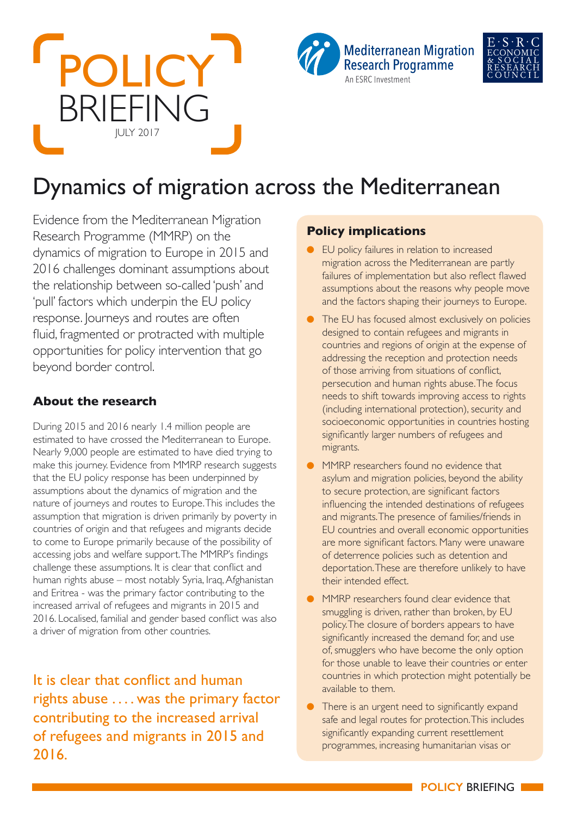





# Dynamics of migration across the Mediterranean

Evidence from the Mediterranean Migration Research Programme (MMRP) on the dynamics of migration to Europe in 2015 and 2016 challenges dominant assumptions about the relationship between so-called 'push' and 'pull' factors which underpin the EU policy response. Journeys and routes are often fluid, fragmented or protracted with multiple opportunities for policy intervention that go beyond border control.

### **About the research**

During 2015 and 2016 nearly 1.4 million people are estimated to have crossed the Mediterranean to Europe. Nearly 9,000 people are estimated to have died trying to make this journey. Evidence from MMRP research suggests that the EU policy response has been underpinned by assumptions about the dynamics of migration and the nature of journeys and routes to Europe. This includes the assumption that migration is driven primarily by poverty in countries of origin and that refugees and migrants decide to come to Europe primarily because of the possibility of accessing jobs and welfare support. The MMRP's findings challenge these assumptions. It is clear that conflict and human rights abuse – most notably Syria, Iraq, Afghanistan and Eritrea - was the primary factor contributing to the increased arrival of refugees and migrants in 2015 and 2016. Localised, familial and gender based conflict was also a driver of migration from other countries.

It is clear that conflict and human rights abuse . . . . was the primary factor contributing to the increased arrival of refugees and migrants in 2015 and 2016.

## **Policy implications**

- EU policy failures in relation to increased migration across the Mediterranean are partly failures of implementation but also reflect flawed assumptions about the reasons why people move and the factors shaping their journeys to Europe.
- The EU has focused almost exclusively on policies designed to contain refugees and migrants in countries and regions of origin at the expense of addressing the reception and protection needs of those arriving from situations of conflict, persecution and human rights abuse. The focus needs to shift towards improving access to rights (including international protection), security and socioeconomic opportunities in countries hosting significantly larger numbers of refugees and migrants.
- MMRP researchers found no evidence that asylum and migration policies, beyond the ability to secure protection, are significant factors influencing the intended destinations of refugees and migrants. The presence of families/friends in EU countries and overall economic opportunities are more significant factors. Many were unaware of deterrence policies such as detention and deportation. These are therefore unlikely to have their intended effect.
- MMRP researchers found clear evidence that smuggling is driven, rather than broken, by EU policy. The closure of borders appears to have significantly increased the demand for, and use of, smugglers who have become the only option for those unable to leave their countries or enter countries in which protection might potentially be available to them.
- There is an urgent need to significantly expand safe and legal routes for protection. This includes significantly expanding current resettlement programmes, increasing humanitarian visas or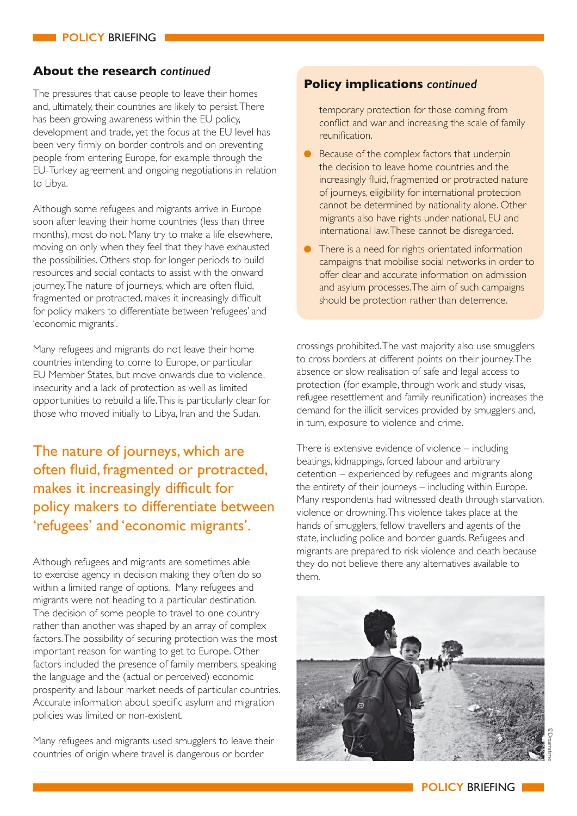### **About the research** *continued*

The pressures that cause people to leave their homes and, ultimately, their countries are likely to persist. There has been growing awareness within the EU policy, development and trade, yet the focus at the EU level has been very firmly on border controls and on preventing people from entering Europe, for example through the EU-Turkey agreement and ongoing negotiations in relation to Libya.

Although some refugees and migrants arrive in Europe soon after leaving their home countries (less than three months), most do not. Many try to make a life elsewhere, moving on only when they feel that they have exhausted the possibilities. Others stop for longer periods to build resources and social contacts to assist with the onward journey. The nature of journeys, which are often fluid, fragmented or protracted, makes it increasingly difficult for policy makers to differentiate between 'refugees' and 'economic migrants'.

Many refugees and migrants do not leave their home countries intending to come to Europe, or particular EU Member States, but move onwards due to violence, insecurity and a lack of protection as well as limited opportunities to rebuild a life. This is particularly clear for those who moved initially to Libya, Iran and the Sudan.

# The nature of journeys, which are often fluid, fragmented or protracted, makes it increasingly difficult for policy makers to differentiate between 'refugees' and 'economic migrants'.

Although refugees and migrants are sometimes able to exercise agency in decision making they often do so within a limited range of options. Many refugees and migrants were not heading to a particular destination. The decision of some people to travel to one country rather than another was shaped by an array of complex factors. The possibility of securing protection was the most important reason for wanting to get to Europe. Other factors included the presence of family members, speaking the language and the (actual or perceived) economic prosperity and labour market needs of particular countries. Accurate information about specific asylum and migration policies was limited or non-existent.

Many refugees and migrants used smugglers to leave their countries of origin where travel is dangerous or border

#### **Policy implications** *continued*

temporary protection for those coming from conflict and war and increasing the scale of family reunification.

- Because of the complex factors that underpin the decision to leave home countries and the increasingly fluid, fragmented or protracted nature of journeys, eligibility for international protection cannot be determined by nationality alone. Other migrants also have rights under national, EU and international law. These cannot be disregarded.
- There is a need for rights-orientated information campaigns that mobilise social networks in order to offer clear and accurate information on admission and asylum processes. The aim of such campaigns should be protection rather than deterrence.

crossings prohibited. The vast majority also use smugglers to cross borders at different points on their journey. The absence or slow realisation of safe and legal access to protection (for example, through work and study visas, refugee resettlement and family reunification) increases the demand for the illicit services provided by smugglers and, in turn, exposure to violence and crime.

There is extensive evidence of violence – including beatings, kidnappings, forced labour and arbitrary detention – experienced by refugees and migrants along the entirety of their journeys – including within Europe. Many respondents had witnessed death through starvation, violence or drowning. This violence takes place at the hands of smugglers, fellow travellers and agents of the state, including police and border guards. Refugees and migrants are prepared to risk violence and death because they do not believe there any alternatives available to them.